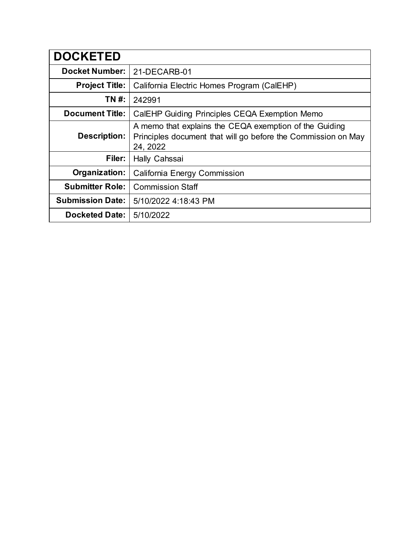| <b>DOCKETED</b>         |                                                                                                                                     |
|-------------------------|-------------------------------------------------------------------------------------------------------------------------------------|
| <b>Docket Number:</b>   | 21-DECARB-01                                                                                                                        |
| <b>Project Title:</b>   | California Electric Homes Program (CalEHP)                                                                                          |
| TN #:                   | 242991                                                                                                                              |
| <b>Document Title:</b>  | CalEHP Guiding Principles CEQA Exemption Memo                                                                                       |
| Description:            | A memo that explains the CEQA exemption of the Guiding<br>Principles document that will go before the Commission on May<br>24, 2022 |
| Filer:                  | Hally Cahssai                                                                                                                       |
| Organization:           | California Energy Commission                                                                                                        |
| <b>Submitter Role:</b>  | <b>Commission Staff</b>                                                                                                             |
| <b>Submission Date:</b> | 5/10/2022 4:18:43 PM                                                                                                                |
| <b>Docketed Date:</b>   | 5/10/2022                                                                                                                           |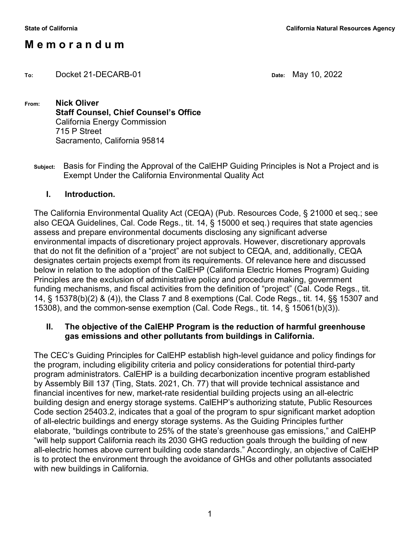# **M e m o r a n d u m**

**To:** Docket 21-DECARB-01 **Date:** May 10, 2022

**From: Nick Oliver Staff Counsel, Chief Counsel's Office** California Energy Commission 715 P Street Sacramento, California 95814

**Subject:** Basis for Finding the Approval of the CalEHP Guiding Principles is Not a Project and is Exempt Under the California Environmental Quality Act

### **I. Introduction.**

The California Environmental Quality Act (CEQA) (Pub. Resources Code, § 21000 et seq.; see also CEQA Guidelines, Cal. Code Regs., tit. 14, § 15000 et seq.) requires that state agencies assess and prepare environmental documents disclosing any significant adverse environmental impacts of discretionary project approvals. However, discretionary approvals that do not fit the definition of a "project" are not subject to CEQA, and, additionally, CEQA designates certain projects exempt from its requirements. Of relevance here and discussed below in relation to the adoption of the CalEHP (California Electric Homes Program) Guiding Principles are the exclusion of administrative policy and procedure making, government funding mechanisms, and fiscal activities from the definition of "project" (Cal. Code Regs., tit. 14, § 15378(b)(2) & (4)), the Class 7 and 8 exemptions (Cal. Code Regs., tit. 14, §§ 15307 and 15308), and the common-sense exemption (Cal. Code Regs., tit. 14, § 15061(b)(3)).

### **II. The objective of the CalEHP Program is the reduction of harmful greenhouse gas emissions and other pollutants from buildings in California.**

The CEC's Guiding Principles for CalEHP establish high-level guidance and policy findings for the program, including eligibility criteria and policy considerations for potential third-party program administrators. CalEHP is a building decarbonization incentive program established by Assembly Bill 137 (Ting, Stats. 2021, Ch. 77) that will provide technical assistance and financial incentives for new, market-rate residential building projects using an all-electric building design and energy storage systems. CalEHP's authorizing statute, Public Resources Code section 25403.2, indicates that a goal of the program to spur significant market adoption of all-electric buildings and energy storage systems. As the Guiding Principles further elaborate, "buildings contribute to 25% of the state's greenhouse gas emissions," and CalEHP "will help support California reach its 2030 GHG reduction goals through the building of new all-electric homes above current building code standards." Accordingly, an objective of CalEHP is to protect the environment through the avoidance of GHGs and other pollutants associated with new buildings in California.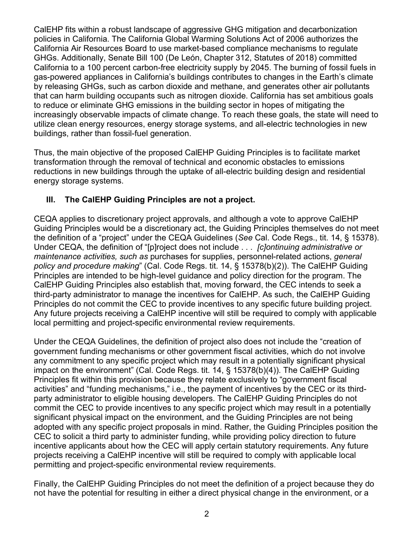CalEHP fits within a robust landscape of aggressive GHG mitigation and decarbonization policies in California. The California Global Warming Solutions Act of 2006 authorizes the California Air Resources Board to use market-based compliance mechanisms to regulate GHGs. Additionally, Senate Bill 100 (De León, Chapter 312, Statutes of 2018) committed California to a 100 percent carbon-free electricity supply by 2045. The burning of fossil fuels in gas-powered appliances in California's buildings contributes to changes in the Earth's climate by releasing GHGs, such as carbon dioxide and methane, and generates other air pollutants that can harm building occupants such as nitrogen dioxide. California has set ambitious goals to reduce or eliminate GHG emissions in the building sector in hopes of mitigating the increasingly observable impacts of climate change. To reach these goals, the state will need to utilize clean energy resources, energy storage systems, and all-electric technologies in new buildings, rather than fossil-fuel generation.

Thus, the main objective of the proposed CalEHP Guiding Principles is to facilitate market transformation through the removal of technical and economic obstacles to emissions reductions in new buildings through the uptake of all-electric building design and residential energy storage systems.

### **III. The CalEHP Guiding Principles are not a project.**

CEQA applies to discretionary project approvals, and although a vote to approve CalEHP Guiding Principles would be a discretionary act, the Guiding Principles themselves do not meet the definition of a "project" under the CEQA Guidelines (*See* Cal. Code Regs., tit. 14, § 15378). Under CEQA, the definition of "[p]roject does not include . . . *[c]ontinuing administrative or maintenance activities, such as* purchases for supplies, personnel-related actions, *general policy and procedure making*" (Cal. Code Regs. tit. 14, § 15378(b)(2)). The CalEHP Guiding Principles are intended to be high-level guidance and policy direction for the program. The CalEHP Guiding Principles also establish that, moving forward, the CEC intends to seek a third-party administrator to manage the incentives for CalEHP. As such, the CalEHP Guiding Principles do not commit the CEC to provide incentives to any specific future building project. Any future projects receiving a CalEHP incentive will still be required to comply with applicable local permitting and project-specific environmental review requirements.

Under the CEQA Guidelines, the definition of project also does not include the "creation of government funding mechanisms or other government fiscal activities, which do not involve any commitment to any specific project which may result in a potentially significant physical impact on the environment" (Cal. Code Regs. tit. 14, § 15378(b)(4)). The CalEHP Guiding Principles fit within this provision because they relate exclusively to "government fiscal activities" and "funding mechanisms," i.e., the payment of incentives by the CEC or its thirdparty administrator to eligible housing developers. The CalEHP Guiding Principles do not commit the CEC to provide incentives to any specific project which may result in a potentially significant physical impact on the environment, and the Guiding Principles are not being adopted with any specific project proposals in mind. Rather, the Guiding Principles position the CEC to solicit a third party to administer funding, while providing policy direction to future incentive applicants about how the CEC will apply certain statutory requirements. Any future projects receiving a CalEHP incentive will still be required to comply with applicable local permitting and project-specific environmental review requirements.

Finally, the CalEHP Guiding Principles do not meet the definition of a project because they do not have the potential for resulting in either a direct physical change in the environment, or a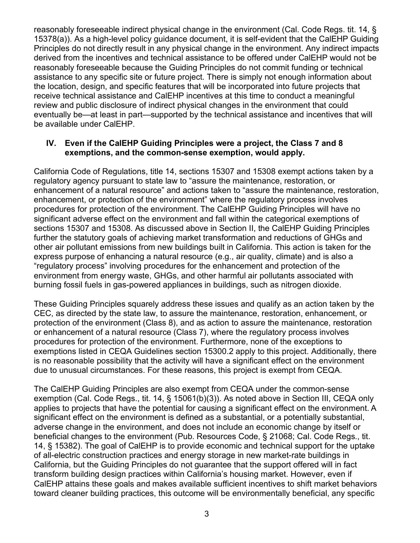reasonably foreseeable indirect physical change in the environment (Cal. Code Regs. tit. 14, § 15378(a)). As a high-level policy guidance document, it is self-evident that the CalEHP Guiding Principles do not directly result in any physical change in the environment. Any indirect impacts derived from the incentives and technical assistance to be offered under CalEHP would not be reasonably foreseeable because the Guiding Principles do not commit funding or technical assistance to any specific site or future project. There is simply not enough information about the location, design, and specific features that will be incorporated into future projects that receive technical assistance and CalEHP incentives at this time to conduct a meaningful review and public disclosure of indirect physical changes in the environment that could eventually be—at least in part—supported by the technical assistance and incentives that will be available under CalEHP.

#### **IV. Even if the CalEHP Guiding Principles were a project, the Class 7 and 8 exemptions, and the common-sense exemption, would apply.**

California Code of Regulations, title 14, sections 15307 and 15308 exempt actions taken by a regulatory agency pursuant to state law to "assure the maintenance, restoration, or enhancement of a natural resource" and actions taken to "assure the maintenance, restoration, enhancement, or protection of the environment" where the regulatory process involves procedures for protection of the environment. The CalEHP Guiding Principles will have no significant adverse effect on the environment and fall within the categorical exemptions of sections 15307 and 15308. As discussed above in Section II, the CalEHP Guiding Principles further the statutory goals of achieving market transformation and reductions of GHGs and other air pollutant emissions from new buildings built in California. This action is taken for the express purpose of enhancing a natural resource (e.g., air quality, climate) and is also a "regulatory process" involving procedures for the enhancement and protection of the environment from energy waste, GHGs, and other harmful air pollutants associated with burning fossil fuels in gas-powered appliances in buildings, such as nitrogen dioxide.

These Guiding Principles squarely address these issues and qualify as an action taken by the CEC, as directed by the state law, to assure the maintenance, restoration, enhancement, or protection of the environment (Class 8), and as action to assure the maintenance, restoration or enhancement of a natural resource (Class 7), where the regulatory process involves procedures for protection of the environment. Furthermore, none of the exceptions to exemptions listed in CEQA Guidelines section 15300.2 apply to this project. Additionally, there is no reasonable possibility that the activity will have a significant effect on the environment due to unusual circumstances. For these reasons, this project is exempt from CEQA.

The CalEHP Guiding Principles are also exempt from CEQA under the common-sense exemption (Cal. Code Regs., tit. 14, § 15061(b)(3)). As noted above in Section III, CEQA only applies to projects that have the potential for causing a significant effect on the environment. A significant effect on the environment is defined as a substantial, or a potentially substantial, adverse change in the environment, and does not include an economic change by itself or beneficial changes to the environment (Pub. Resources Code, § 21068; Cal. Code Regs., tit. 14, § 15382). The goal of CalEHP is to provide economic and technical support for the uptake of all-electric construction practices and energy storage in new market-rate buildings in California, but the Guiding Principles do not guarantee that the support offered will in fact transform building design practices within California's housing market. However, even if CalEHP attains these goals and makes available sufficient incentives to shift market behaviors toward cleaner building practices, this outcome will be environmentally beneficial, any specific